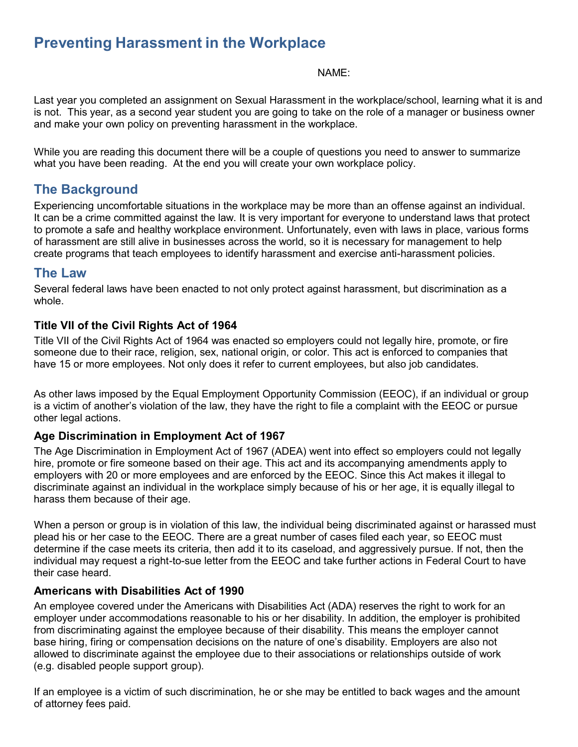# **Preventing Harassment in the Workplace**

#### NAME:

Last year you completed an assignment on Sexual Harassment in the workplace/school, learning what it is and is not. This year, as a second year student you are going to take on the role of a manager or business owner and make your own policy on preventing harassment in the workplace.

While you are reading this document there will be a couple of questions you need to answer to summarize what you have been reading. At the end you will create your own workplace policy.

## **The Background**

Experiencing uncomfortable situations in the workplace may be more than an offense against an individual. It can be a crime committed against the law. It is very important for everyone to understand laws that protect to promote a safe and healthy workplace environment. Unfortunately, even with laws in place, various forms of harassment are still alive in businesses across the world, so it is necessary for management to help create programs that teach employees to identify harassment and exercise anti-harassment policies.

### **The Law**

Several federal laws have been enacted to not only protect against harassment, but discrimination as a whole.

### **Title VII of the Civil Rights Act of 1964**

Title VII of the Civil Rights Act of 1964 was enacted so employers could not legally hire, promote, or fire someone due to their race, religion, sex, national origin, or color. This act is enforced to companies that have 15 or more employees. Not only does it refer to current employees, but also job candidates.

As other laws imposed by the Equal Employment Opportunity Commission (EEOC), if an individual or group is a victim of another's violation of the law, they have the right to file a complaint with the EEOC or pursue other legal actions.

### **Age Discrimination in Employment Act of 1967**

The Age Discrimination in Employment Act of 1967 (ADEA) went into effect so employers could not legally hire, promote or fire someone based on their age. This act and its accompanying amendments apply to employers with 20 or more employees and are enforced by the EEOC. Since this Act makes it illegal to discriminate against an individual in the workplace simply because of his or her age, it is equally illegal to harass them because of their age.

When a person or group is in violation of this law, the individual being discriminated against or harassed must plead his or her case to the EEOC. There are a great number of cases filed each year, so EEOC must determine if the case meets its criteria, then add it to its caseload, and aggressively pursue. If not, then the individual may request a right-to-sue letter from the EEOC and take further actions in Federal Court to have their case heard.

### **Americans with Disabilities Act of 1990**

An employee covered under the Americans with Disabilities Act (ADA) reserves the right to work for an employer under accommodations reasonable to his or her disability. In addition, the employer is prohibited from discriminating against the employee because of their disability. This means the employer cannot base hiring, firing or compensation decisions on the nature of one's disability. Employers are also not allowed to discriminate against the employee due to their associations or relationships outside of work (e.g. disabled people support group).

If an employee is a victim of such discrimination, he or she may be entitled to back wages and the amount of attorney fees paid.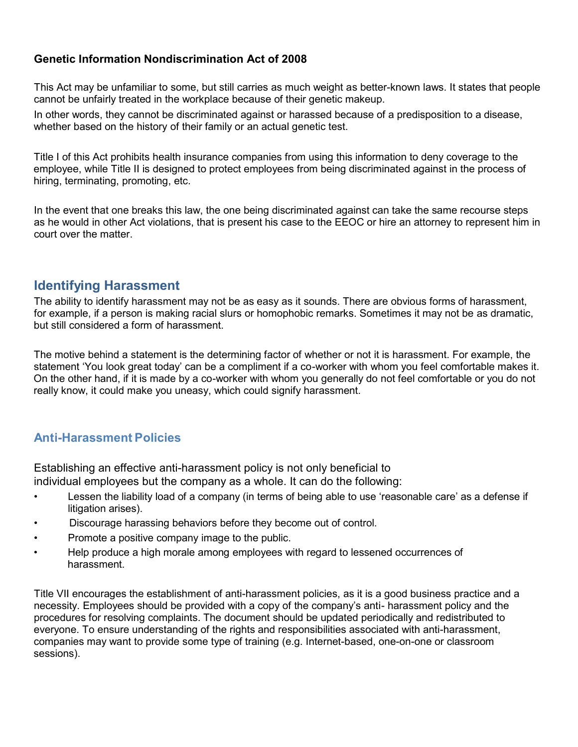### **Genetic Information Nondiscrimination Act of 2008**

This Act may be unfamiliar to some, but still carries as much weight as better-known laws. It states that people cannot be unfairly treated in the workplace because of their genetic makeup.

In other words, they cannot be discriminated against or harassed because of a predisposition to a disease, whether based on the history of their family or an actual genetic test.

Title I of this Act prohibits health insurance companies from using this information to deny coverage to the employee, while Title II is designed to protect employees from being discriminated against in the process of hiring, terminating, promoting, etc.

In the event that one breaks this law, the one being discriminated against can take the same recourse steps as he would in other Act violations, that is present his case to the EEOC or hire an attorney to represent him in court over the matter.

### **Identifying Harassment**

The ability to identify harassment may not be as easy as it sounds. There are obvious forms of harassment, for example, if a person is making racial slurs or homophobic remarks. Sometimes it may not be as dramatic, but still considered a form of harassment.

The motive behind a statement is the determining factor of whether or not it is harassment. For example, the statement 'You look great today' can be a compliment if a co-worker with whom you feel comfortable makes it. On the other hand, if it is made by a co-worker with whom you generally do not feel comfortable or you do not really know, it could make you uneasy, which could signify harassment.

### **Anti-Harassment Policies**

Establishing an effective anti-harassment policy is not only beneficial to individual employees but the company as a whole. It can do the following:

- Lessen the liability load of a company (in terms of being able to use 'reasonable care' as a defense if litigation arises).
- Discourage harassing behaviors before they become out of control.
- Promote a positive company image to the public.
- Help produce a high morale among employees with regard to lessened occurrences of harassment.

Title VII encourages the establishment of anti-harassment policies, as it is a good business practice and a necessity. Employees should be provided with a copy of the company's anti- harassment policy and the procedures for resolving complaints. The document should be updated periodically and redistributed to everyone. To ensure understanding of the rights and responsibilities associated with anti-harassment, companies may want to provide some type of training (e.g. Internet-based, one-on-one or classroom sessions).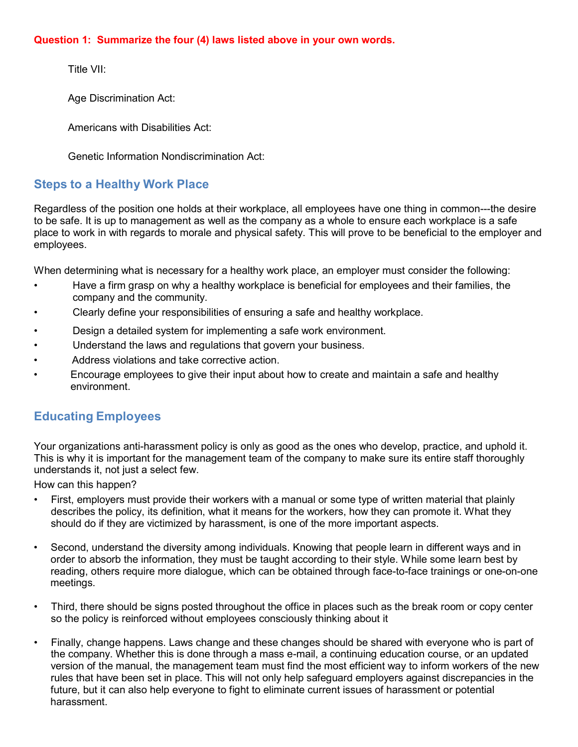#### **Question 1: Summarize the four (4) laws listed above in your own words.**

Title VII:

Age Discrimination Act:

Americans with Disabilities Act:

Genetic Information Nondiscrimination Act:

# **Steps to a Healthy Work Place**

Regardless of the position one holds at their workplace, all employees have one thing in common---the desire to be safe. It is up to management as well as the company as a whole to ensure each workplace is a safe place to work in with regards to morale and physical safety. This will prove to be beneficial to the employer and employees.

When determining what is necessary for a healthy work place, an employer must consider the following:

- Have a firm grasp on why a healthy workplace is beneficial for employees and their families, the company and the community.
- Clearly define your responsibilities of ensuring a safe and healthy workplace.
- Design a detailed system for implementing a safe work environment.
- Understand the laws and regulations that govern your business.
- Address violations and take corrective action.
- Encourage employees to give their input about how to create and maintain a safe and healthy environment.

# **Educating Employees**

Your organizations anti-harassment policy is only as good as the ones who develop, practice, and uphold it. This is why it is important for the management team of the company to make sure its entire staff thoroughly understands it, not just a select few.

How can this happen?

- First, employers must provide their workers with a manual or some type of written material that plainly describes the policy, its definition, what it means for the workers, how they can promote it. What they should do if they are victimized by harassment, is one of the more important aspects.
- Second, understand the diversity among individuals. Knowing that people learn in different ways and in order to absorb the information, they must be taught according to their style. While some learn best by reading, others require more dialogue, which can be obtained through face-to-face trainings or one-on-one meetings.
- Third, there should be signs posted throughout the office in places such as the break room or copy center so the policy is reinforced without employees consciously thinking about it
- Finally, change happens. Laws change and these changes should be shared with everyone who is part of the company. Whether this is done through a mass e-mail, a continuing education course, or an updated version of the manual, the management team must find the most efficient way to inform workers of the new rules that have been set in place. This will not only help safeguard employers against discrepancies in the future, but it can also help everyone to fight to eliminate current issues of harassment or potential harassment.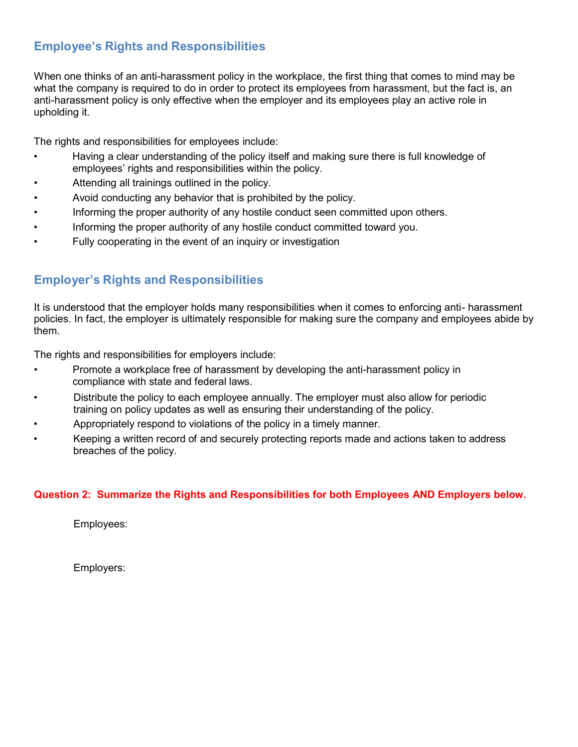# **Employee's Rights and Responsibilities**

When one thinks of an anti-harassment policy in the workplace, the first thing that comes to mind may be what the company is required to do in order to protect its employees from harassment, but the fact is, an anti-harassment policy is only effective when the employer and its employees play an active role in upholding it.

The rights and responsibilities for employees include:

- Having a clear understanding of the policy itself and making sure there is full knowledge of employees' rights and responsibilities within the policy.
- Attending all trainings outlined in the policy.
- Avoid conducting any behavior that is prohibited by the policy.
- Informing the proper authority of any hostile conduct seen committed upon others.
- Informing the proper authority of any hostile conduct committed toward you.
- Fully cooperating in the event of an inquiry or investigation

### **Employer's Rights and Responsibilities**

It is understood that the employer holds many responsibilities when it comes to enforcing anti- harassment policies. In fact, the employer is ultimately responsible for making sure the company and employees abide by them.

The rights and responsibilities for employers include:

- Promote a workplace free of harassment by developing the anti-harassment policy in compliance with state and federal laws.
- Distribute the policy to each employee annually. The employer must also allow for periodic training on policy updates as well as ensuring their understanding of the policy.
- Appropriately respond to violations of the policy in a timely manner.
- Keeping a written record of and securely protecting reports made and actions taken to address breaches of the policy.

### **Question 2: Summarize the Rights and Responsibilities for both Employees AND Employers below.**

Employees:

Employers: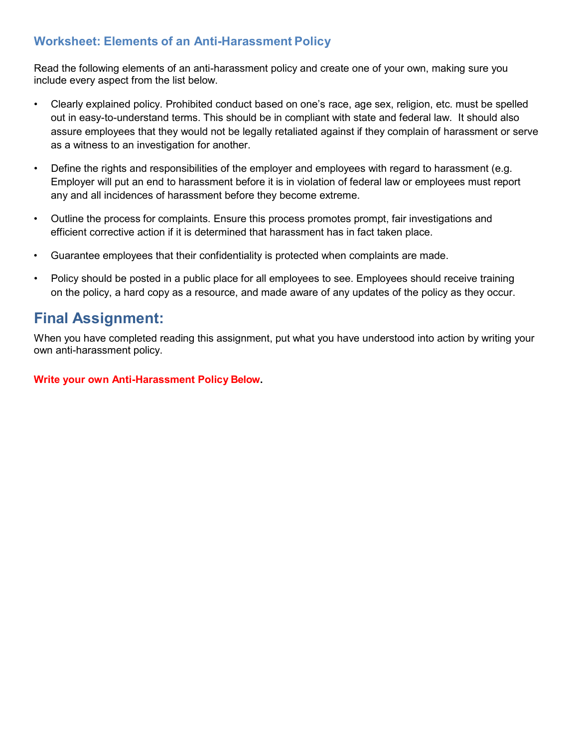## **Worksheet: Elements of an Anti-Harassment Policy**

Read the following elements of an anti-harassment policy and create one of your own, making sure you include every aspect from the list below.

- Clearly explained policy. Prohibited conduct based on one's race, age sex, religion, etc. must be spelled out in easy-to-understand terms. This should be in compliant with state and federal law. It should also assure employees that they would not be legally retaliated against if they complain of harassment or serve as a witness to an investigation for another.
- Define the rights and responsibilities of the employer and employees with regard to harassment (e.g. Employer will put an end to harassment before it is in violation of federal law or employees must report any and all incidences of harassment before they become extreme.
- Outline the process for complaints. Ensure this process promotes prompt, fair investigations and efficient corrective action if it is determined that harassment has in fact taken place.
- Guarantee employees that their confidentiality is protected when complaints are made.
- Policy should be posted in a public place for all employees to see. Employees should receive training on the policy, a hard copy as a resource, and made aware of any updates of the policy as they occur.

# **Final Assignment:**

When you have completed reading this assignment, put what you have understood into action by writing your own anti-harassment policy.

#### **Write your own Anti-Harassment Policy Below.**